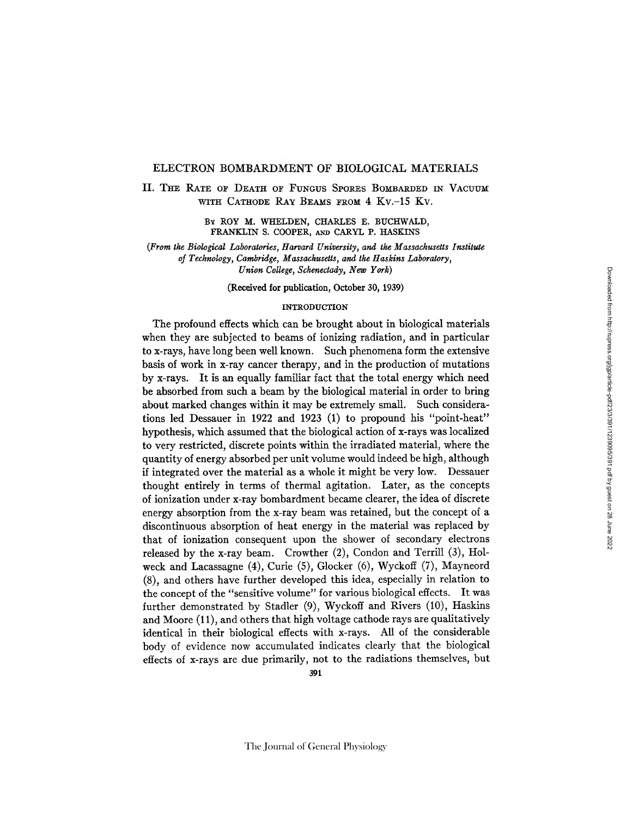# ELECTRON BOMBARDMENT OF BIOLOGICAL MATERIALS

II. THE RATE OF DEATH OF FUNGUS SPORES BOMBARDED IN VACUUM WITH CATHODE RAY BEAMS FROM 4 KV.-15 KV.

> BY ROY M. WHELDEN, CHARLES E. BUCHWALD, FRANKLIN S. COOPER, AND CARYL P. HASKINS

*(From the Biological Laboratories, Harvard University, and the Massachusetts Institute of Technology, Cambridge, Massachusetts, and the Haskins Laboratory, Union College, Schenectady, New York)* 

(Received for publication, October 30, 1939)

## **INTRODUCTION**

The profound effects which can be brought about in biological materials when they are subjected to beams of ionizing radiation, and in particular to x-rays, have long been well known. Such phenomena form the extensive basis of work in x-ray cancer therapy, and in the production of mutations by x-rays. It is an equally familiar fact that the total energy which need be absorbed from such a beam by the biological material in order to bring about marked changes within it may be extremely small. Such considerations led Dessauer in 1922 and 1923 (1) to propound his "point-heat" hypothesis, which assumed that the biological action of x-rays was localized to very restricted, discrete points within the irradiated material, where the quantity of energy absorbed per unit volume would indeed be high, although if integrated over the material as a whole it might be very low. Dessauer thought entirely in terms of thermal agitation. Later, as the concepts of ionization under x-ray bombardment became clearer, the idea of discrete energy absorption from the x-ray beam was retained, but the concept of a discontinuous absorption of heat energy in the material was replaced by that of ionization consequent upon the shower of secondary electrons released by the x-ray beam. Crowther (2), Condon and Terrill (3), Holweck and Lacassagne (4), Curie (5), Glocker (6), Wyckoff (7), Mayneord (8), and others have further developed this idea, especially in relation to the concept of the "sensitive volume" for various biological effects. It was further demonstrated by Stadler (9), Wyckoff and Rivers (10), Haskins and Moore (11), and others that high voltage cathode rays are qualitatively identical in their biological effects with x-rays. All of the considerable body of evidence now accumulated indicates clearly that the biological effects of x-rays are due primarily, not to the radiations themselves, but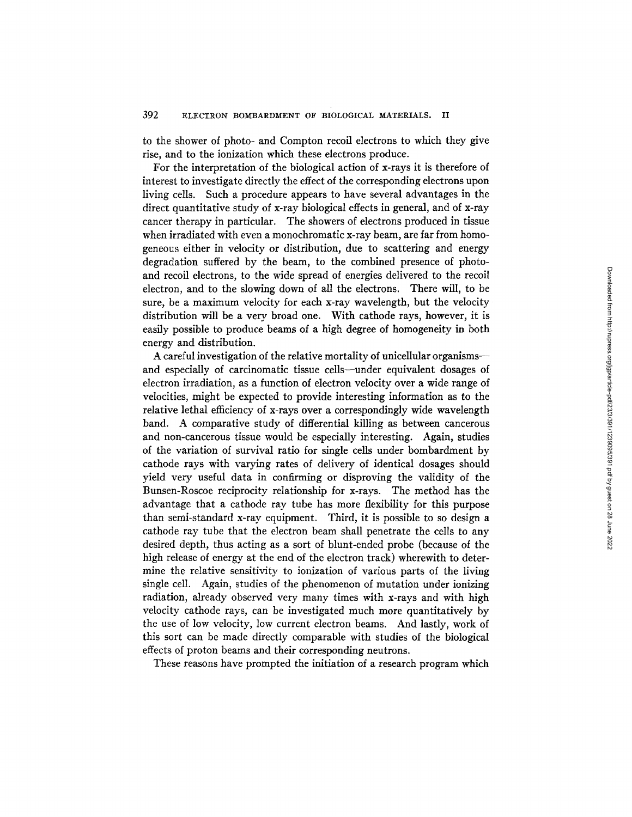to the shower of photo- and Compton recoil electrons to which they give rise, and to the ionization which these electrons produce.

For the interpretation of the biological action of x-rays it is therefore of interest to investigate directly the effect of the corresponding electrons upon living cells. Such a procedure appears to have several advantages in the direct quantitative study of x-ray biological effects in general, and of x-ray cancer therapy in particular. The showers of electrons produced in tissue when irradiated with even a monochromatic x-ray beam, are far from homogeneous either in velocity or distribution, due to scattering and energy degradation suffered by the beam, to the combined presence of photoand recoil electrons, to the wide spread of energies delivered to the recoil electron, and to the slowing down of all the electrons. There will, to be sure, be a maximum velocity for each x-ray wavelength, but the velocity distribution will be a very broad one. With cathode rays, however, it is easily possible to produce beams of a high degree of homogeneity in both energy and distribution.

A careful investigation of the relative mortality of unicellular organisms and especially of carcinomatic tissue cells--under equivalent dosages of electron irradiation, as a function of electron velocity over a wide range of velocities, might be expected to provide interesting information as to the relative lethal efficiency of x-rays over a correspondingly wide wavelength band. A comparative study of differential killing as between cancerous and non-cancerous tissue would be especially interesting. Again, studies of the variation of survival ratio for single cells under bombardment by cathode rays with varying rates of delivery of identical dosages should yield very useful data in confirming or disproving the validity of the Bunsen-Roscoe reciprocity relationship for x-rays. The method has the advantage that a cathode ray tube has more flexibility for this purpose than semi-standard x-ray equipment. Third, it is possible to so design a cathode ray tube that the electron beam shall penetrate the cells to any desired depth, thus acting as a sort of blunt-ended probe (because of the high release of energy at the end of the electron track) wherewith to determine the relative sensitivity to ionization of various parts of the living single cell. Again, studies of the phenomenon of mutation under ionizing radiation, already observed very many times with x-rays and with high velocity cathode rays, can be investigated much more quantitatively by the use of low velocity, low current electron beams. And lastly, work of this sort can be made directly comparable with studies of the biological effects of proton beams and their corresponding neutrons.

These reasons have prompted the initiation of a research program which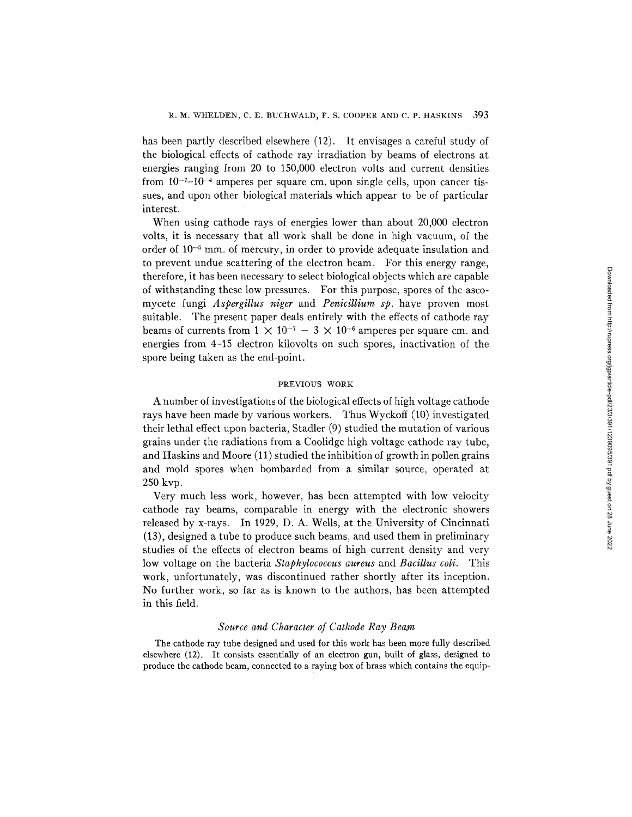has been partly described elsewhere (12). It envisages a careful study of the biological effects of cathode ray irradiation by beams of electrons at energies ranging from 20 to 150,000 electron volts and current densities from  $10^{-7}$ - $10^{-4}$  amperes per square cm. upon single cells, upon cancer tissues, and upon other biological materials which appear to be of particular interest.

When using cathode rays of energies lower than about 20,000 electron volts, it is necessary that all work shall be done in high vacuum, of the order of 10<sup>-5</sup> mm. of mercury, in order to provide adequate insulation and to prevent undue scattering of the electron beam. For this energy range, therefore, it has been necessary to select biological objects which are capable of withstanding these low pressures. For this purpose, spores of the ascomycete fungi *Aspergillus niger* and *Penicillium sp.* have proven most suitable. The present paper deals entirely with the effects of cathode ray beams of currents from  $1 \times 10^{-7} - 3 \times 10^{-6}$  amperes per square cm. and energies from 4-15 electron kilovolts on such spores, inactivation of the spore being taken as the end-point.

#### PREVIOUS WORK

A number of investigations of the biological effects of high voltage cathode rays have been made by various workers. Thus Wyckoff (10) investigated their lethal effect upon bacteria, Stadler (9) studied the mutation of various grains under the radiations from a Coolidge high voltage cathode ray tube, and Haskins and Moore (11) studied the inhibition of growth in pollen grains and mold spores when bombarded from a similar source, operated at 250 kvp.

Very much less work, however, has been attempted with low velocity cathode ray beams, comparable in energy with the electronic showers released by x-rays. In 1929, D. A. Wells, at the University of Cincinnati (13), designed a tube to produce such beams, and used them in preliminary studies of the effects of electron beams of high current density and very low voltage on the bacteria *Staphylococcus aureus* and *Bacillus coll.* This work, unfortunately, was discontinued rather shortly after its inception. No further work, so far as is known to the authors, has been attempted in this field.

## *Source and Character of Cathode Ray Beam*

The cathode ray tube designed and used for this work has been more fully described elsewhere (12). It consists essentially of an electron gun, built of glass, designed to produce the cathode beam, connected to a raying box of brass which contains the equip-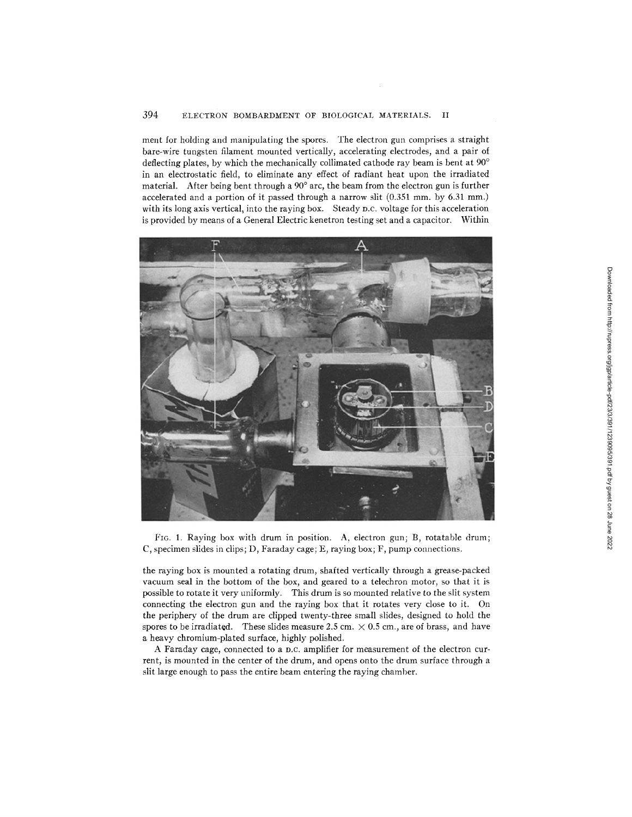# 394 ELECTRON BOMBARDMENT OF BIOLOGICAL MATERIALS. II

ment for holding and manipulating the spores. The electron gun comprises a straight bare-wire tungsten filament mounted vertically, accelerating electrodes, and a pair of deflecting plates, by which the mechanically collimated cathode ray beam is bent at  $90^{\circ}$ in an electrostatic field, to eliminate any effect of radiant heat upon the irradiated material. After being bent through a  $90^{\circ}$  arc, the beam from the electron gun is further accelerated and a portion of it passed through a narrow slit  $(0.351 \text{ mm}$ , by  $6.31 \text{ mm}$ .) with its long axis vertical, into the raying box. Steady D.C. voltage for this acceleration is provided by means of a General Electric kenetron testing set and a capacitor. Within



FIG. 1. Raying box with drum in position. A, electron gun; B, rotatable drum; C, specimen slides in clips; D, Faraday cage; E, raying box; F, pump connections.

the raying box is mounted a rotating drum, shafted vertically through a grease-packed vacuum seal in the bottom of the box, and geared to a telechron motor, so that it is possible to rotate it very uniformly. This drum is so mounted relative to the slit system connecting the electron gun and the raying box that it rotates very close to it. On the periphery of the drum are dipped twenty-three small slides, designed to hold the spores to be irradiated. These slides measure 2.5 cm.  $\times$  0.5 cm., are of brass, and have a heavy chromium-plated surface, highly polished.

A Faraday cage, connected to a D.C. amplifier for measurement of the electron current, is mounted in the center of the drum, and opens onto the drum surface through a slit large enough to pass the entire beam entering the raying chamber.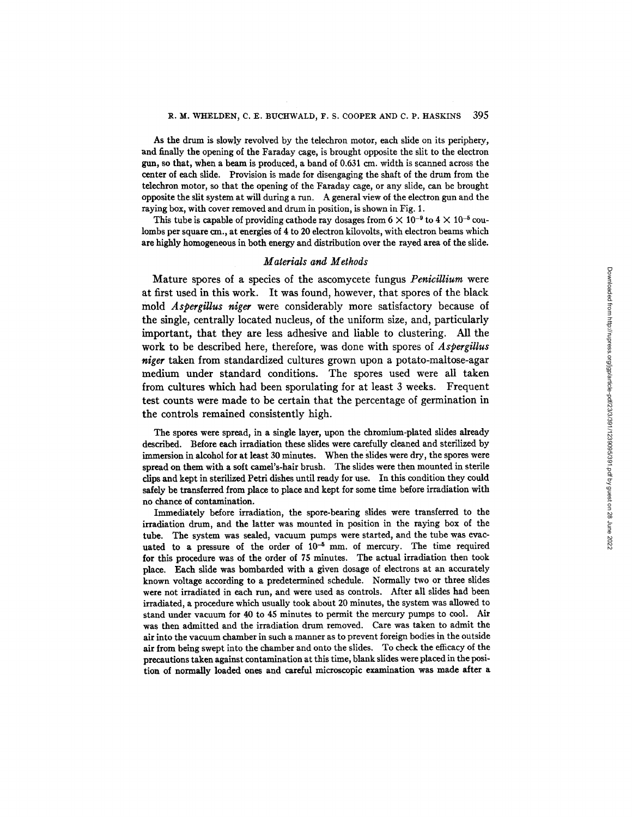As the drum is slowly revolved by the telechron motor, each slide on its periphery, and finally the opening of the Faraday cage, is brought opposite the slit to the electron gun, so that, when a beam is produced, a band of 0.631 cm. width is scanned across the center of each slide. Provision is made for disengaging the shaft of the drum from the tdechron motor, so that the opening of the Faraday cage, or any slide, can be brought opposite the slit system at will during a run. A general view of the electron gun and the raying box, with cover removed and drum in position, is shown in Fig. 1.

This tube is capable of providing cathode ray dosages from  $6 \times 10^{-9}$  to  $4 \times 10^{-5}$  coulombs per square cm., at energies of 4 to 20 electron kilovolts, with electron beams which are highly homogeneous in both energy and distribution over the rayed area of the slide.

## *Materials and Methods*

Mature spores of a species of the ascomycete fungus *Penicillium* were at first used in this work. It was found, however, that spores of the black mold *Aspergillus niger* were considerably more satisfactory because of the single, centrally located nucleus, of the uniform size, and, particularly important, that they are less adhesive and liable to clustering. All the work to be described here, therefore, was done with spores of *Aspergillus niger* taken from standardized cultures grown upon a potato-maltose-agar medium under standard conditions. The spores used were all taken from cultures which had been sporulating for at least 3 weeks. Frequent test counts were made to be certain that the percentage of germination in the controls remained consistently high.

The spores were spread, in a single layer, upon the chromium-plated slides already described. Before each irradiation these slides were carefully cleaned and sterilized by immersion in alcohol for at least 30 minutes. When the slides were dry, the spores were spread on them with a soft camel's-hair brush. The slides were then mounted in sterile clips and kept in sterilized Petri dishes until ready for use. In this condition they could safely be transferred from place to place and kept for some time before irradiation with no chance of contamination.

Immediately before irradiation, the spore-bearing slides were transferred to the irradiation drum, and the latter was mounted in position in the raying box of the tube. The system was sealed, vacuum pumps were started, and the tube was evacuated to a pressure of the order of  $10^{-5}$  mm. of mercury. The time required for this procedure was of the order of 75 minutes. The actual irradiation then took place. Each slide was bombarded with a given dosage of electrons at an accurately known voltage according to a predetermined schedule. Normally two or three slides were not irradiated in each run, and were used as controls. After all slides had been irradiated, a procedure which usually took about 20 minutes, the system was allowed to stand under vacuum for 40 to 45 minutes to permit the mercury pumps to cool. Air was then admitted and the irradiation drum removed. Care was taken to admit the air into the vacuum chamber in such a manner as to prevent foreign bodies in the outside air from being swept into the chamber and onto the slides. To check the efficacy of the precautions taken against contamination at this time, blank slides were placed in the position of normally loaded ones and careful microscopic examination was made after a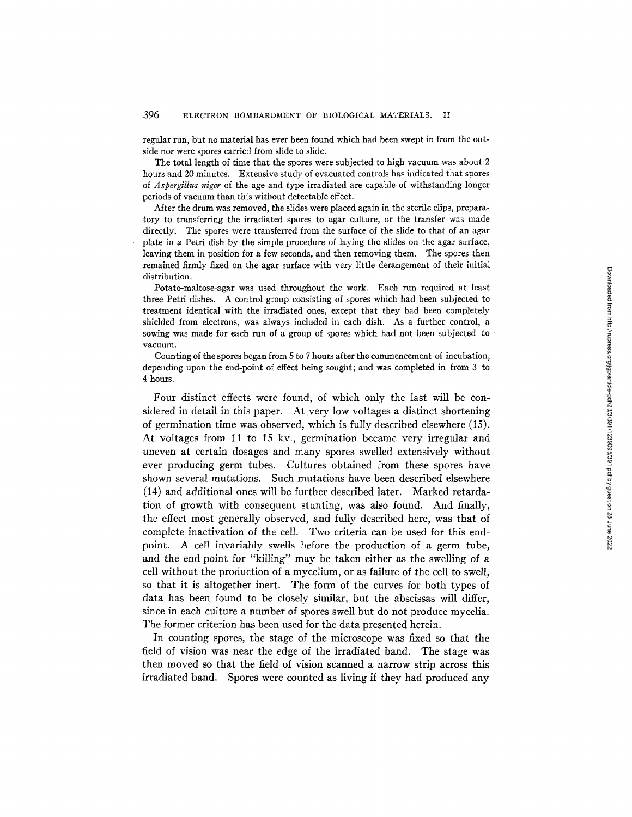regular run, but no material has ever been found which had been swept in from the outside nor were spores carried from slide to slide.

The total length of time that the spores were subjected to high vacuum was about 2 hours and 20 minutes. Extensive study of evacuated controls has indicated that spores of *Aspergillus niger* of the age and type irradiated are capable of withstanding longer periods of vacuum than this without detectable effect.

After the drum was removed, the slides were placed again in the sterile clips, preparatory to transferring the irradiated spores to agar culture, or the transfer was made directly. The spores were transferred from the surface of the slide to that of an agar plate in a Petri dish by the simple procedure of laying the slides on the agar surface, leaving them in position for a few seconds, and then removing them. The spores then remained firmly fixed on the agar surface with very little derangement of their initial distribution.

Potato-maltose-agar was used throughout the work. Each run required at least three Petri dishes. A control group consisting of spores which had been subjected to treatment identical with the irradiated ones, except that they had been completely shielded from electrons, was always included in each dish. As a further control, a sowing was made for each run of a group of spores which had not been subjected to vacuum.

Counting of the spores began from 5 to 7 hours after the commencement of incubation, depending upon the end-point of effect being sought; and was completed in from 3 to 4 hours.

Four distinct effects were found, of which only the last will be considered in detail in this paper. At very low voltages a distinct shortening of germination time was observed, which is fully described elsewhere (15). At voltages from 11 to 15 kv., germination became very irregular and uneven at certain dosages and many spores swelled extensively without ever producing germ tubes. Cultures obtained from these spores have shown several mutations. Such mutations have been described elsewhere (14) and additional ones will be further described later. Marked retardation of growth with consequent stunting, was also found. And finally, the effect most generally observed, and fully described here, was that of complete inactivation of the cell. Two criteria can be used for this endpoint. A cell invariably swells before the production of a germ tube, and the end-point for "killing" may be taken either as the swelling of a cell without the production of a mycelium, or as failure of the cell to swell, so that it is altogether inert. The form of the curves for both types of data has been found to be closely similar, but the abscissas will differ, since in each culture a number of spores swell but do not produce mycelia. The former criterion has been used for the data presented herein.

In counting spores, the stage of the microscope was fixed so that the field of vision was near the edge of the irradiated band. The stage was then moved so that the field of vision scanned a narrow strip across this irradiated band. Spores were counted as living if they had produced any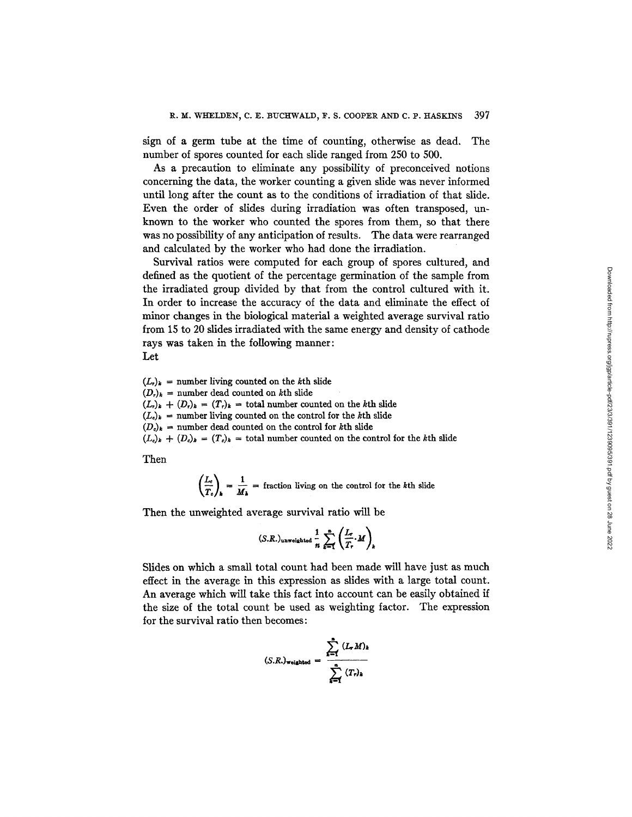sign of a germ tube at the time of counting, otherwise as dead. The number of spores counted for each slide ranged from 250 to 500.

As a precaution to eliminate any possibility of preconceived notions concerning the data, the worker counting a given slide was never informed until long after the count as to the conditions of irradiation of that slide. Even the order of slides during irradiation was often transposed, unknown to the worker who counted the spores from them, so that there was no possibility of any anticipation of results. The data were rearranged and calculated by the worker who had done the irradiation.

Survival ratios were computed for each group of spores cultured, and defined as the quotient of the percentage germination of the sample from the irradiated group divided by that from the control cultured with it. In order to increase the accuracy of the data and eliminate the effect of minor changes in the biological material a weighted average survival ratio from 15 to 20 slides irradiated with the same energy and density of cathode rays was taken in the following manner: Let

 $(L_r)_k$  = number living counted on the kth slide  $(D_r)_k$  = number dead counted on kth slide  $(L_r)_k + (D_r)_k = (T_r)_k$  = total number counted on the kth slide  $(L_e)_k$  = number living counted on the control for the kth slide  $(D_c)_k$  = number dead counted on the control for kth slide  $(L_c)_k + (D_c)_k = (T_c)_k$  = total number counted on the control for the kth slide

Then

$$
\left(\frac{L_e}{T_e}\right)_h = \frac{1}{M_h}
$$
 = fraction living on the control for the kth slide

Then the unweighted average survival ratio will be

$$
(S.R.)_{\text{unweighted}} \frac{1}{n} \sum_{k=1}^{n} \left( \frac{L_r}{T_r} \cdot M \right)_k
$$

Slides on which a small total count had been made will have just as much effect in the average in this expression as slides with a large total count. An average which will take this fact into account can be easily obtained if the size of the total count be used as weighting factor. The expression for the survival ratio then becomes:

$$
(S.R.)_{\text{weighted}} = \frac{\sum_{k=1}^{n} (L_r M)_k}{\sum_{k=1}^{n} (T_r)_k}
$$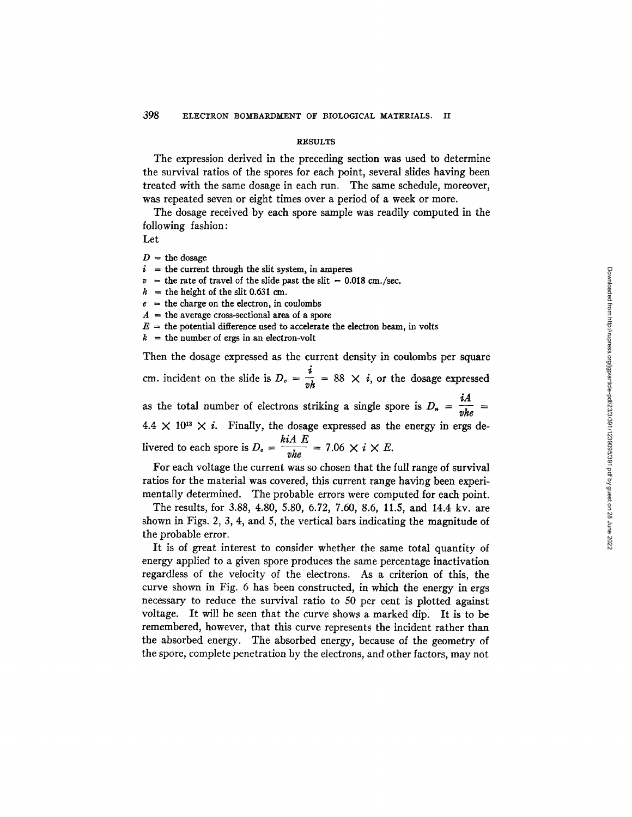#### **RESULTS**

The expression derived in the preceding section was used to determine the survival ratios of the spores for each point, several slides having been treated with the same dosage in each run. The same schedule, moreover, was repeated seven or eight times over a period of a weck or more.

The dosage received by each spore sample was readily computed in the following fashion:

Let

 $D =$  the dosage

 $i =$  the current through the slit system, in amperes

 $v =$  the rate of travel of the slide past the slit = 0.018 cm./sec.

 $h =$  the height of the slit 0.631 cm.

 $e =$  the charge on the electron, in coulombs

 $A =$  the average cross-sectional area of a spore

 $E =$  the potential difference used to accelerate the electron beam, in volts

 $k =$  the number of ergs in an electron-volt

Then the dosage expressed as the current density in coulombs per square cm. incident on the slide is  $D_c = \frac{i}{nL} = 88 \times i$ , or the dosage expressed as the total number of electrons striking a single spore is  $D_n = \frac{iA}{nL}$  $4.4 \times 10^{13} \times i$ . Finally, the dosage expressed as the energy in ergs de-

livered to each spore is  $D_e = \frac{k A}{r k} = 7.06 \times i \times E$ .

For each voltage the current was so chosen that the full range of survival ratios for the material was covered, this current range having been experimentally determined. The probable errors were computed for each point.

The results, for 3.88, 4.80, 5.80, 6.72, 7.60, 8.6, 11.5, and 14.4 kv. are shown in Figs. 2, 3, 4, and 5, the vertical bars indicating the magnitude of the probable error.

It is of great interest to consider whether the same total quantity of energy applied to a given spore produces the same percentage inactivation regardless of the velocity of the electrons. As a criterion of this, the curve shown in Fig. 6 has been constructed, in which the energy in ergs necessary to reduce the survival ratio to 50 per cent is plotted against voltage. It will be seen that the curve shows a marked dip. It is to be remembered, however, that this curve represents the incident rather than the absorbed energy. The absorbed energy, because of the geometry of the spore, complete penetration by the electrons, and other factors, may not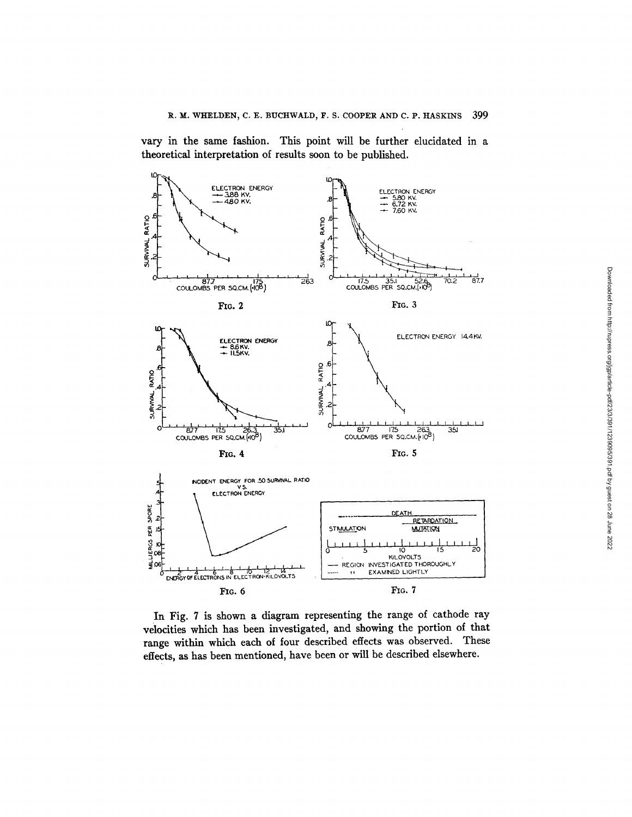**vary in the same fashion. This point will be further elucidated in a theoretical interpretation of results soon to be published.** 



**In Fig. 7 is shown a diagram representing the range of cathode ray velocities which has been investigated, and showing the portion of that range within which each of four described effects was observed. These effects, as has been mentioned, have been or will be described elsewhere.**